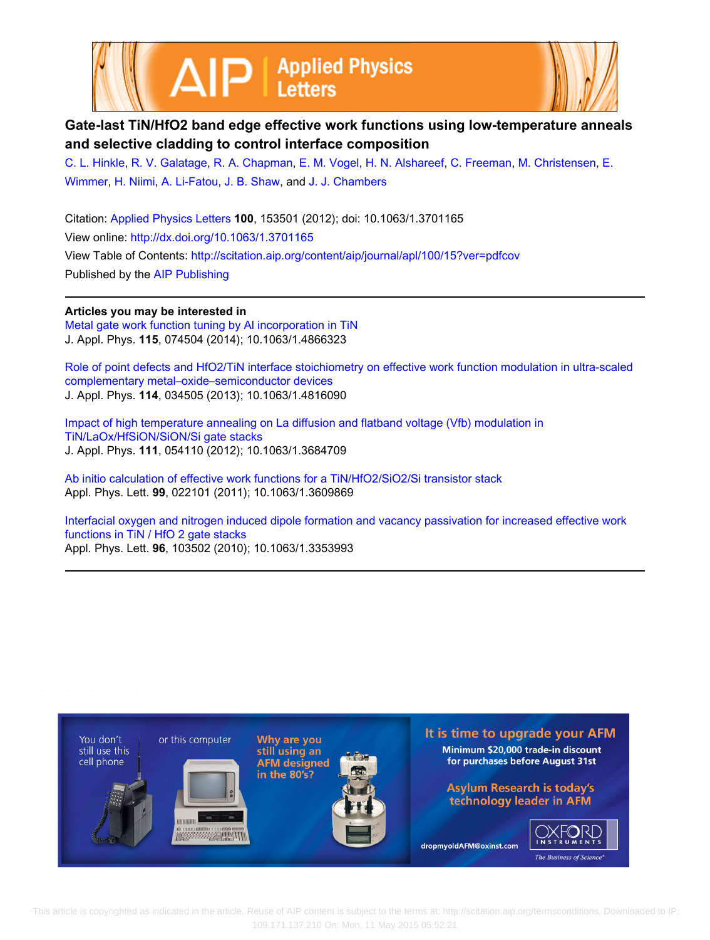



## **Gate-last TiN/HfO2 band edge effective work functions using low-temperature anneals and selective cladding to control interface composition**

[C. L. Hinkle,](http://scitation.aip.org/search?value1=C.+L.+Hinkle&option1=author) [R. V. Galatage,](http://scitation.aip.org/search?value1=R.+V.+Galatage&option1=author) [R. A. Chapman,](http://scitation.aip.org/search?value1=R.+A.+Chapman&option1=author) [E. M. Vogel,](http://scitation.aip.org/search?value1=E.+M.+Vogel&option1=author) [H. N. Alshareef](http://scitation.aip.org/search?value1=H.+N.+Alshareef&option1=author), [C. Freeman](http://scitation.aip.org/search?value1=C.+Freeman&option1=author), [M. Christensen](http://scitation.aip.org/search?value1=M.+Christensen&option1=author), [E.](http://scitation.aip.org/search?value1=E.+Wimmer&option1=author) [Wimmer](http://scitation.aip.org/search?value1=E.+Wimmer&option1=author), [H. Niimi,](http://scitation.aip.org/search?value1=H.+Niimi&option1=author) [A. Li-Fatou](http://scitation.aip.org/search?value1=A.+Li-Fatou&option1=author), [J. B. Shaw](http://scitation.aip.org/search?value1=J.+B.+Shaw&option1=author), and [J. J. Chambers](http://scitation.aip.org/search?value1=J.+J.+Chambers&option1=author)

Citation: [Applied Physics Letters](http://scitation.aip.org/content/aip/journal/apl?ver=pdfcov) **100**, 153501 (2012); doi: 10.1063/1.3701165 View online: <http://dx.doi.org/10.1063/1.3701165> View Table of Contents: <http://scitation.aip.org/content/aip/journal/apl/100/15?ver=pdfcov> Published by the [AIP Publishing](http://scitation.aip.org/content/aip?ver=pdfcov)

## **Articles you may be interested in**

[Metal gate work function tuning by Al incorporation in TiN](http://scitation.aip.org/content/aip/journal/jap/115/7/10.1063/1.4866323?ver=pdfcov) J. Appl. Phys. **115**, 074504 (2014); 10.1063/1.4866323

[Role of point defects and HfO2/TiN interface stoichiometry on effective work function modulation in ultra-scaled](http://scitation.aip.org/content/aip/journal/jap/114/3/10.1063/1.4816090?ver=pdfcov) [complementary metal–oxide–semiconductor devices](http://scitation.aip.org/content/aip/journal/jap/114/3/10.1063/1.4816090?ver=pdfcov) J. Appl. Phys. **114**, 034505 (2013); 10.1063/1.4816090

[Impact of high temperature annealing on La diffusion and flatband voltage \(Vfb\) modulation in](http://scitation.aip.org/content/aip/journal/jap/111/5/10.1063/1.3684709?ver=pdfcov) [TiN/LaOx/HfSiON/SiON/Si gate stacks](http://scitation.aip.org/content/aip/journal/jap/111/5/10.1063/1.3684709?ver=pdfcov) J. Appl. Phys. **111**, 054110 (2012); 10.1063/1.3684709

[Ab initio calculation of effective work functions for a TiN/HfO2/SiO2/Si transistor stack](http://scitation.aip.org/content/aip/journal/apl/99/2/10.1063/1.3609869?ver=pdfcov) Appl. Phys. Lett. **99**, 022101 (2011); 10.1063/1.3609869

[Interfacial oxygen and nitrogen induced dipole formation and vacancy passivation for increased effective work](http://scitation.aip.org/content/aip/journal/apl/96/10/10.1063/1.3353993?ver=pdfcov) [functions in TiN / HfO 2 gate stacks](http://scitation.aip.org/content/aip/journal/apl/96/10/10.1063/1.3353993?ver=pdfcov) Appl. Phys. Lett. **96**, 103502 (2010); 10.1063/1.3353993



 This article is copyrighted as indicated in the article. Reuse of AIP content is subject to the terms at: http://scitation.aip.org/termsconditions. Downloaded to IP: 109.171.137.210 On: Mon, 11 May 2015 05:52:21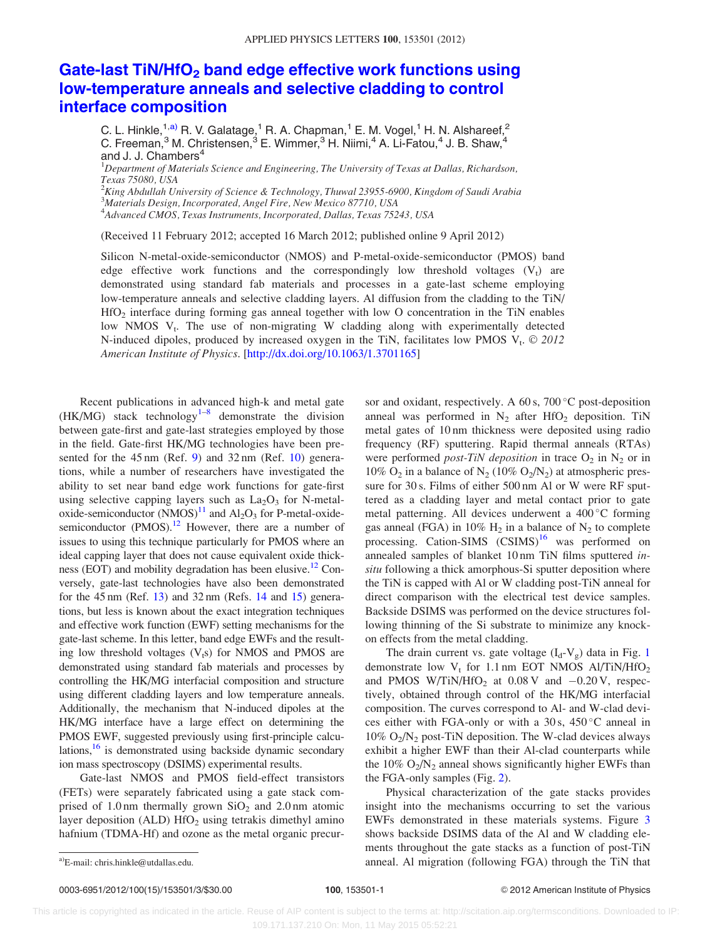## Gate-last  $TiN/HfO<sub>2</sub>$  [band edge effective work functions using](http://dx.doi.org/10.1063/1.3701165) [low-temperature anneals and selective cladding to control](http://dx.doi.org/10.1063/1.3701165) [interface composition](http://dx.doi.org/10.1063/1.3701165)

C. L. Hinkle,  $1, a)$  R. V. Galatage, <sup>1</sup> R. A. Chapman, <sup>1</sup> E. M. Vogel, <sup>1</sup> H. N. Alshareef, <sup>2</sup> C. Freeman,<sup>3</sup> M. Christensen,<sup>3</sup> E. Wimmer,<sup>3</sup> H. Niimi,<sup>4</sup> A. Li-Fatou,<sup>4</sup> J. B. Shaw,<sup>4</sup> and J. J. Chambers<sup>4</sup>

 ${}^{1}$ Department of Materials Science and Engineering, The University of Texas at Dallas, Richardson, Texas 75080, USA

 $^2$ King Abdullah University of Science & Technology, Thuwal 23955-6900, Kingdom of Saudi Arabia 3 Materials Design, Incorporated, Angel Fire, New Mexico 87710, USA

4 Advanced CMOS, Texas Instruments, Incorporated, Dallas, Texas 75243, USA

(Received 11 February 2012; accepted 16 March 2012; published online 9 April 2012)

Silicon N-metal-oxide-semiconductor (NMOS) and P-metal-oxide-semiconductor (PMOS) band edge effective work functions and the correspondingly low threshold voltages  $(V_t)$  are demonstrated using standard fab materials and processes in a gate-last scheme employing low-temperature anneals and selective cladding layers. Al diffusion from the cladding to the TiN/ HfO2 interface during forming gas anneal together with low O concentration in the TiN enables low NMOS  $V_t$ . The use of non-migrating W cladding along with experimentally detected N-induced dipoles, produced by increased oxygen in the TiN, facilitates low PMOS  $V_t$ .  $\odot$  2012 American Institute of Physics. [\[http://dx.doi.org/10.1063/1.3701165](http://dx.doi.org/10.1063/1.3701165)]

Recent publications in advanced high-k and metal gate  $(HK/MG)$  stack technology<sup>[1–8](#page-3-0)</sup> demonstrate the division between gate-first and gate-last strategies employed by those in the field. Gate-first HK/MG technologies have been presented for the  $45 \text{ nm}$  (Ref. [9\)](#page-3-0) and  $32 \text{ nm}$  (Ref. [10](#page-3-0)) generations, while a number of researchers have investigated the ability to set near band edge work functions for gate-first using selective capping layers such as  $La<sub>2</sub>O<sub>3</sub>$  for N-metaloxide-semiconductor  $(NMOS)^{11}$  $(NMOS)^{11}$  $(NMOS)^{11}$  and  $Al_2O_3$  for P-metal-oxide-semiconductor (PMOS).<sup>[12](#page-3-0)</sup> However, there are a number of issues to using this technique particularly for PMOS where an ideal capping layer that does not cause equivalent oxide thickness (EOT) and mobility degradation has been elusive.<sup>12</sup> Conversely, gate-last technologies have also been demonstrated for the 45 nm (Ref. [13\)](#page-3-0) and 32 nm (Refs. [14](#page-3-0) and [15\)](#page-3-0) generations, but less is known about the exact integration techniques and effective work function (EWF) setting mechanisms for the gate-last scheme. In this letter, band edge EWFs and the resulting low threshold voltages  $(V<sub>t</sub>s)$  for NMOS and PMOS are demonstrated using standard fab materials and processes by controlling the HK/MG interfacial composition and structure using different cladding layers and low temperature anneals. Additionally, the mechanism that N-induced dipoles at the HK/MG interface have a large effect on determining the PMOS EWF, suggested previously using first-principle calculations,<sup>16</sup> is demonstrated using backside dynamic secondary ion mass spectroscopy (DSIMS) experimental results.

Gate-last NMOS and PMOS field-effect transistors (FETs) were separately fabricated using a gate stack comprised of 1.0 nm thermally grown  $SiO<sub>2</sub>$  and 2.0 nm atomic layer deposition (ALD)  $HfO<sub>2</sub>$  using tetrakis dimethyl amino hafnium (TDMA-Hf) and ozone as the metal organic precur-

sor and oxidant, respectively. A 60 s, 700 °C post-deposition anneal was performed in  $N_2$  after HfO<sub>2</sub> deposition. TiN metal gates of 10 nm thickness were deposited using radio frequency (RF) sputtering. Rapid thermal anneals (RTAs) were performed *post-TiN deposition* in trace  $O_2$  in  $N_2$  or in 10%  $O_2$  in a balance of  $N_2$  (10%  $O_2/N_2$ ) at atmospheric pressure for 30 s. Films of either 500 nm Al or W were RF sputtered as a cladding layer and metal contact prior to gate metal patterning. All devices underwent a 400 °C forming gas anneal (FGA) in 10%  $H_2$  in a balance of  $N_2$  to complete processing. Cation-SIMS  $(CSIMS)^{16}$  $(CSIMS)^{16}$  $(CSIMS)^{16}$  was performed on annealed samples of blanket 10 nm TiN films sputtered insitu following a thick amorphous-Si sputter deposition where the TiN is capped with Al or W cladding post-TiN anneal for direct comparison with the electrical test device samples. Backside DSIMS was performed on the device structures following thinning of the Si substrate to minimize any knockon effects from the metal cladding.

The drain current vs. gate voltage  $(I_d-V_g)$  data in Fig. [1](#page-2-0) demonstrate low  $V_t$  for 1.1 nm EOT NMOS Al/TiN/HfO<sub>2</sub> and PMOS W/TiN/HfO<sub>2</sub> at  $0.08$  V and  $-0.20$  V, respectively, obtained through control of the HK/MG interfacial composition. The curves correspond to Al- and W-clad devices either with FGA-only or with a  $30\,\text{s}$ ,  $450\,\text{°C}$  anneal in  $10\%$  O<sub>2</sub>/N<sub>2</sub> post-TiN deposition. The W-clad devices always exhibit a higher EWF than their Al-clad counterparts while the 10%  $O_2/N_2$  anneal shows significantly higher EWFs than the FGA-only samples (Fig. [2\)](#page-2-0).

Physical characterization of the gate stacks provides insight into the mechanisms occurring to set the various EWFs demonstrated in these materials systems. Figure [3](#page-2-0) shows backside DSIMS data of the Al and W cladding elements throughout the gate stacks as a function of post-TiN a)E-mail: chris.hinkle@utdallas.edu. **Alteration in the Time in the Time in the Time in the Time in the Time in the Time in the Time in the Time in the Time in the Time in the Time in the Time in the Time in the Time in th**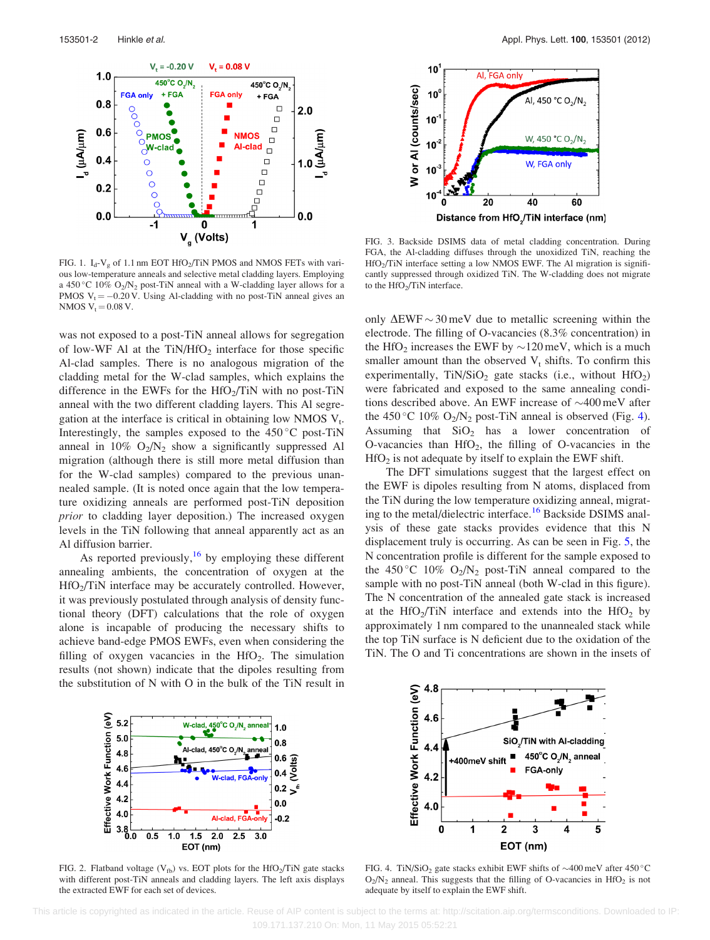<span id="page-2-0"></span>

FIG. 1.  $I_d$ -V<sub>g</sub> of 1.1 nm EOT HfO<sub>2</sub>/TiN PMOS and NMOS FETs with various low-temperature anneals and selective metal cladding layers. Employing a 450 °C 10%  $O_2/N_2$  post-TiN anneal with a W-cladding layer allows for a PMOS  $V_t = -0.20$  V. Using Al-cladding with no post-TiN anneal gives an NMOS  $V_t = 0.08 V$ .

was not exposed to a post-TiN anneal allows for segregation of low-WF Al at the  $TiN/HfO<sub>2</sub>$  interface for those specific Al-clad samples. There is no analogous migration of the cladding metal for the W-clad samples, which explains the difference in the EWFs for the  $HfO<sub>2</sub>/TiN$  with no post-TiN anneal with the two different cladding layers. This Al segregation at the interface is critical in obtaining low NMOS  $V_t$ . Interestingly, the samples exposed to the  $450^{\circ}$ C post-TiN anneal in  $10\%$  O<sub>2</sub>/N<sub>2</sub> show a significantly suppressed Al migration (although there is still more metal diffusion than for the W-clad samples) compared to the previous unannealed sample. (It is noted once again that the low temperature oxidizing anneals are performed post-TiN deposition prior to cladding layer deposition.) The increased oxygen levels in the TiN following that anneal apparently act as an Al diffusion barrier.

As reported previously,  $16$  by employing these different annealing ambients, the concentration of oxygen at the  $HfO<sub>2</sub>/TiN$  interface may be accurately controlled. However, it was previously postulated through analysis of density functional theory (DFT) calculations that the role of oxygen alone is incapable of producing the necessary shifts to achieve band-edge PMOS EWFs, even when considering the filling of oxygen vacancies in the  $HfO<sub>2</sub>$ . The simulation results (not shown) indicate that the dipoles resulting from the substitution of N with O in the bulk of the TiN result in



FIG. 3. Backside DSIMS data of metal cladding concentration. During FGA, the Al-cladding diffuses through the unoxidized TiN, reaching the  $HfO<sub>2</sub>/TiN$  interface setting a low NMOS EWF. The Al migration is significantly suppressed through oxidized TiN. The W-cladding does not migrate to the  $HfO<sub>2</sub>/TiN$  interface.

only  $\Delta$ EWF  $\sim$  30 meV due to metallic screening within the electrode. The filling of O-vacancies (8.3% concentration) in the HfO<sub>2</sub> increases the EWF by  $\sim$ 120 meV, which is a much smaller amount than the observed  $V_t$  shifts. To confirm this experimentally,  $TiN/SiO<sub>2</sub>$  gate stacks (i.e., without  $HfO<sub>2</sub>$ ) were fabricated and exposed to the same annealing conditions described above. An EWF increase of  $\sim$ 400 meV after the 450 °C 10%  $O_2/N_2$  post-TiN anneal is observed (Fig. 4). Assuming that  $SiO<sub>2</sub>$  has a lower concentration of O-vacancies than  $HfO<sub>2</sub>$ , the filling of O-vacancies in the  $HfO<sub>2</sub>$  is not adequate by itself to explain the EWF shift.

The DFT simulations suggest that the largest effect on the EWF is dipoles resulting from N atoms, displaced from the TiN during the low temperature oxidizing anneal, migrat-ing to the metal/dielectric interface.<sup>[16](#page-3-0)</sup> Backside DSIMS analysis of these gate stacks provides evidence that this N displacement truly is occurring. As can be seen in Fig. [5](#page-3-0), the N concentration profile is different for the sample exposed to the 450 °C 10%  $O_2/N_2$  post-TiN anneal compared to the sample with no post-TiN anneal (both W-clad in this figure). The N concentration of the annealed gate stack is increased at the HfO<sub>2</sub>/TiN interface and extends into the HfO<sub>2</sub> by approximately 1 nm compared to the unannealed stack while the top TiN surface is N deficient due to the oxidation of the TiN. The O and Ti concentrations are shown in the insets of



FIG. 2. Flatband voltage ( $V_{fb}$ ) vs. EOT plots for the HfO<sub>2</sub>/TiN gate stacks with different post-TiN anneals and cladding layers. The left axis displays the extracted EWF for each set of devices.



FIG. 4. TiN/SiO<sub>2</sub> gate stacks exhibit EWF shifts of  $\sim$ 400 meV after 450 °C  $O_2/N_2$  anneal. This suggests that the filling of O-vacancies in HfO<sub>2</sub> is not adequate by itself to explain the EWF shift.

 This article is copyrighted as indicated in the article. Reuse of AIP content is subject to the terms at: http://scitation.aip.org/termsconditions. Downloaded to IP: 109.171.137.210 On: Mon, 11 May 2015 05:52:21